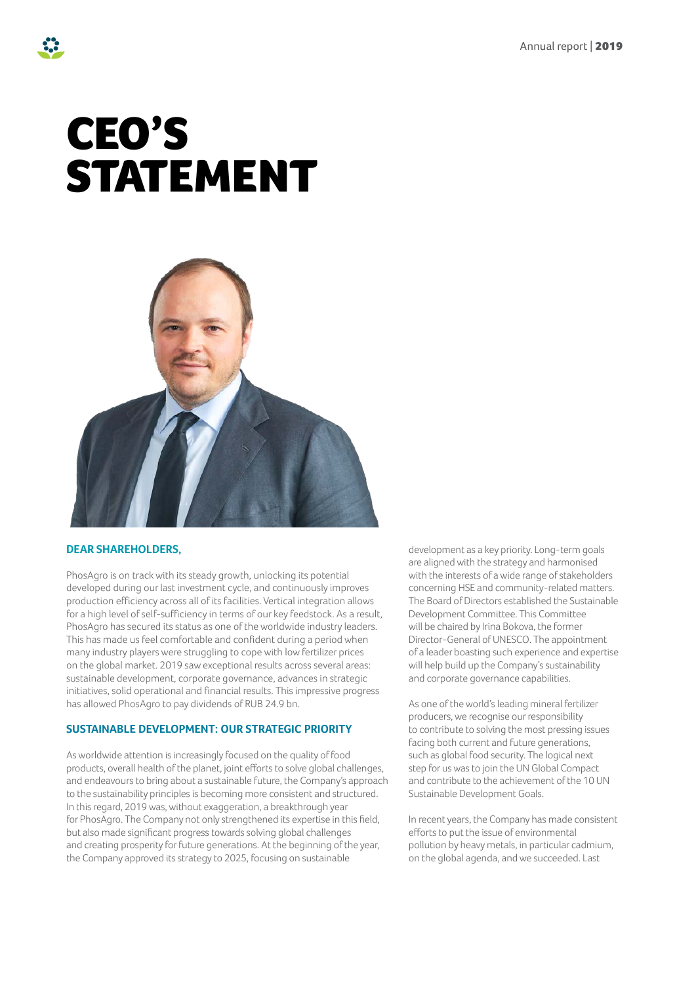# CEO'S STATEMENT



# **DEAR SHAREHOLDERS,**

PhosAgro is on track with its steady growth, unlocking its potential developed during our last investment cycle, and continuously improves production efficiency across all of its facilities. Vertical integration allows for a high level of self-sufficiency in terms of our key feedstock. As a result, PhosAgro has secured its status as one of the worldwide industry leaders. This has made us feel comfortable and confident during a period when many industry players were struggling to cope with low fertilizer prices on the global market. 2019 saw exceptional results across several areas: sustainable development, corporate governance, advances in strategic initiatives, solid operational and financial results. This impressive progress has allowed PhosAgro to pay dividends of RUB 24.9 bn.

# **SUSTAINABLE DEVELOPMENT: OUR STRATEGIC PRIORITY**

As worldwide attention is increasingly focused on the quality of food products, overall health of the planet, joint efforts to solve global challenges, and endeavours to bring about a sustainable future, the Company's approach to the sustainability principles is becoming more consistent and structured. In this regard, 2019 was, without exaggeration, a breakthrough year for PhosAgro. The Company not only strengthened its expertise in this field, but also made significant progress towards solving global challenges and creating prosperity for future generations. At the beginning of the year, the Company approved its strategy to 2025, focusing on sustainable

development as a key priority. Long-term goals are aligned with the strategy and harmonised with the interests of a wide range of stakeholders concerning HSE and community-related matters. The Board of Directors established the Sustainable Development Committee. This Committee will be chaired by Irina Bokova, the former Director-General of UNESCO. The appointment of a leader boasting such experience and expertise will help build up the Company's sustainability and corporate governance capabilities.

As one of the world's leading mineral fertilizer producers, we recognise our responsibility to contribute to solving the most pressing issues facing both current and future generations, such as global food security. The logical next step for us was to join the UN Global Compact and contribute to the achievement of the 10 UN Sustainable Development Goals.

In recent years, the Company has made consistent efforts to put the issue of environmental pollution by heavy metals, in particular cadmium, on the global agenda, and we succeeded. Last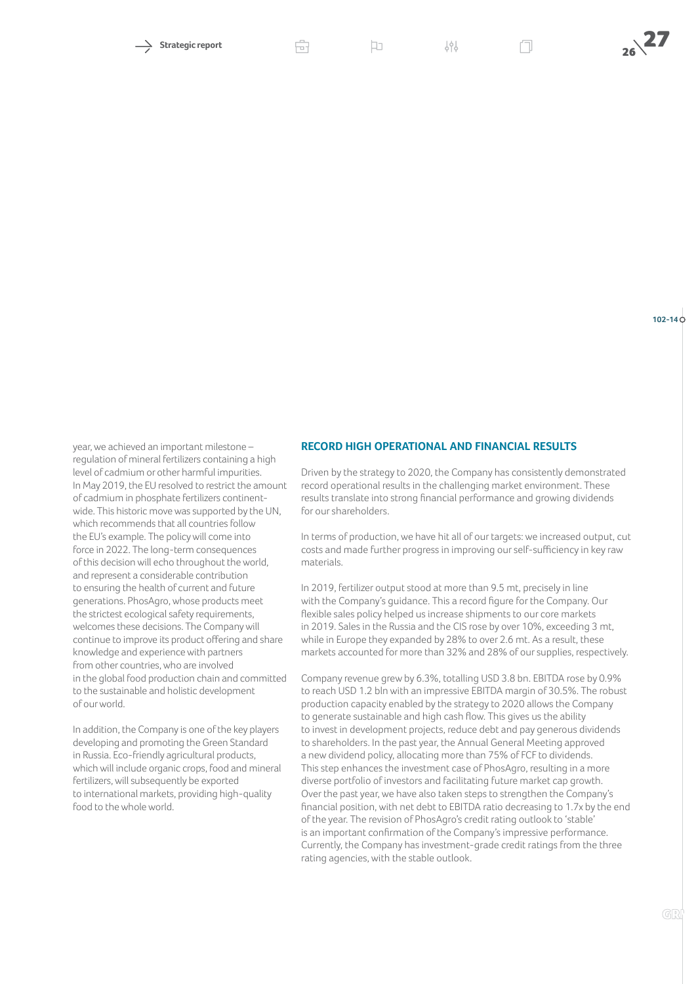# **102-14**

year, we achieved an important milestone – regulation of mineral fertilizers containing a high level of cadmium or other harmful impurities. In May 2019, the EU resolved to restrict the amount of cadmium in phosphate fertilizers continentwide. This historic move was supported by the UN, which recommends that all countries follow the EU's example. The policy will come into force in 2022. The long-term consequences of this decision will echo throughout the world, and represent a considerable contribution to ensuring the health of current and future generations. PhosAgro, whose products meet the strictest ecological safety requirements, welcomes these decisions. The Company will continue to improve its product offering and share knowledge and experience with partners from other countries, who are involved in the global food production chain and committed to the sustainable and holistic development of our world.

In addition, the Company is one of the key players developing and promoting the Green Standard in Russia. Eco-friendly agricultural products, which will include organic crops, food and mineral fertilizers, will subsequently be exported to international markets, providing high-quality food to the whole world.

#### **RECORD HIGH OPERATIONAL AND FINANCIAL RESULTS**

Driven by the strategy to 2020, the Company has consistently demonstrated record operational results in the challenging market environment. These results translate into strong financial performance and growing dividends for our shareholders.

In terms of production, we have hit all of our targets: we increased output, cut costs and made further progress in improving our self-sufficiency in key raw materials.

In 2019, fertilizer output stood at more than 9.5 mt, precisely in line with the Company's guidance. This a record figure for the Company. Our flexible sales policy helped us increase shipments to our core markets in 2019. Sales in the Russia and the CIS rose by over 10%, exceeding 3 mt, while in Europe they expanded by 28% to over 2.6 mt. As a result, these markets accounted for more than 32% and 28% of our supplies, respectively.

Company revenue grew by 6.3%, totalling USD 3.8 bn. EBITDA rose by 0.9% to reach USD 1.2 bln with an impressive EBITDA margin of 30.5%. The robust production capacity enabled by the strategy to 2020 allows the Company to generate sustainable and high cash flow. This gives us the ability to invest in development projects, reduce debt and pay generous dividends to shareholders. In the past year, the Annual General Meeting approved a new dividend policy, allocating more than 75% of FCF to dividends. This step enhances the investment case of PhosAgro, resulting in a more diverse portfolio of investors and facilitating future market cap growth. Over the past year, we have also taken steps to strengthen the Company's financial position, with net debt to EBITDA ratio decreasing to 1.7x by the end of the year. The revision of PhosAgro's credit rating outlook to 'stable' is an important confirmation of the Company's impressive performance. Currently, the Company has investment-grade credit ratings from the three rating agencies, with the stable outlook.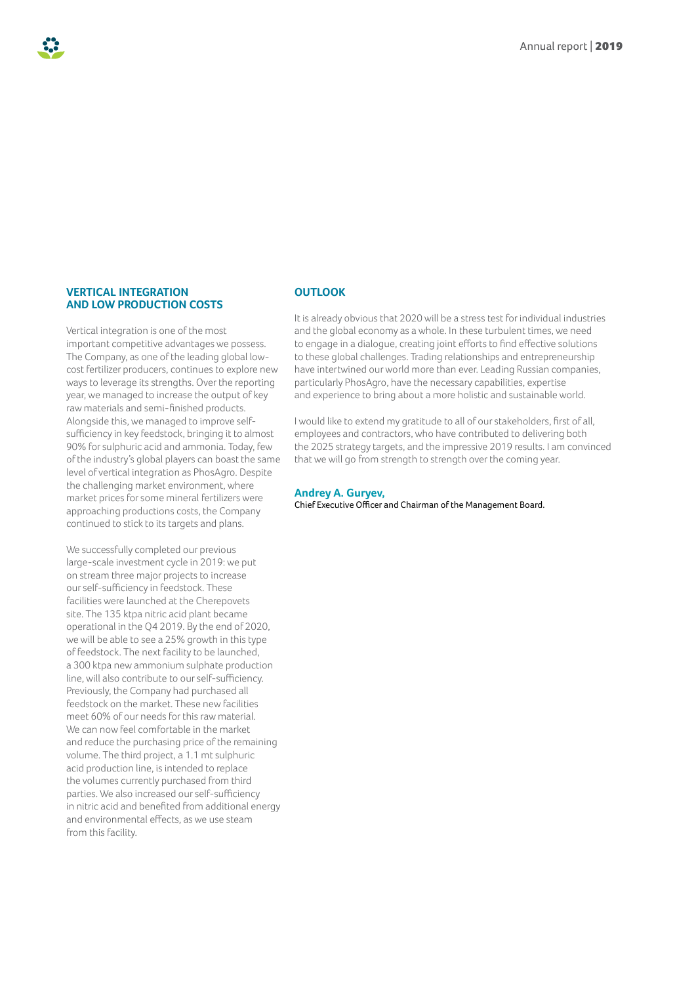# **VERTICAL INTEGRATION AND LOW PRODUCTION COSTS**

Vertical integration is one of the most important competitive advantages we possess. The Company, as one of the leading global lowcost fertilizer producers, continues to explore new ways to leverage its strengths. Over the reporting year, we managed to increase the output of key raw materials and semi-finished products. Alongside this, we managed to improve selfsufficiency in key feedstock, bringing it to almost 90% for sulphuric acid and ammonia. Today, few of the industry's global players can boast the same level of vertical integration as PhosAgro. Despite the challenging market environment, where market prices for some mineral fertilizers were approaching productions costs, the Company continued to stick to its targets and plans.

We successfully completed our previous large-scale investment cycle in 2019: we put on stream three major projects to increase our self-sufficiency in feedstock. These facilities were launched at the Cherepovets site. The 135 ktpa nitric acid plant became operational in the Q4 2019. By the end of 2020, we will be able to see a 25% growth in this type of feedstock. The next facility to be launched, a 300 ktpa new ammonium sulphate production line, will also contribute to our self-sufficiency. Previously, the Company had purchased all feedstock on the market. These new facilities meet 60% of our needs for this raw material. We can now feel comfortable in the market and reduce the purchasing price of the remaining volume. The third project, a 1.1 mt sulphuric acid production line, is intended to replace the volumes currently purchased from third parties. We also increased our self-sufficiency in nitric acid and benefited from additional energy and environmental effects, as we use steam from this facility.

# **OUTLOOK**

It is already obvious that 2020 will be a stress test for individual industries and the global economy as a whole. In these turbulent times, we need to engage in a dialogue, creating joint efforts to find effective solutions to these global challenges. Trading relationships and entrepreneurship have intertwined our world more than ever. Leading Russian companies, particularly PhosAgro, have the necessary capabilities, expertise and experience to bring about a more holistic and sustainable world.

I would like to extend my gratitude to all of our stakeholders, first of all, employees and contractors, who have contributed to delivering both the 2025 strategy targets, and the impressive 2019 results. I am convinced that we will go from strength to strength over the coming year.

#### **Andrey A. Guryev,**

Chief Executive Officer and Chairman of the Management Board.